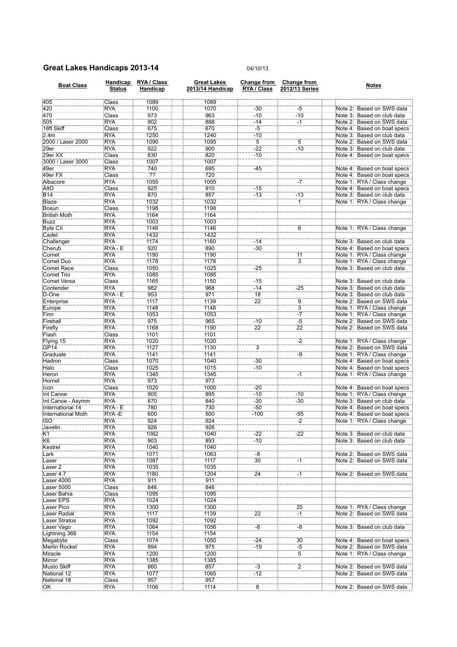## Great Lakes Handicaps 2013-14 04/10/13

| <b>Boat Class</b>         | <b>Status</b> | Handicap RYA / Class<br>Handicap | <b>Great Lakes</b><br>2013/14 Handicap | RYA / Class     | Change from Change from<br>2012/13 Series | <b>Notes</b>                |
|---------------------------|---------------|----------------------------------|----------------------------------------|-----------------|-------------------------------------------|-----------------------------|
| 405                       | Class         | 1089                             | 1089                                   |                 |                                           |                             |
| 420                       | <b>RYA</b>    | 1100                             | 1070                                   | $-30$           | $-5$                                      | Note 2: Based on SWS data   |
| 470                       | Class         | 973                              | 963                                    | $-10$           | $-10$                                     | Note 3: Based on club data  |
| 505                       | <b>RYA</b>    | 902                              | 888                                    | $-14$           | $-1$                                      | Note 2: Based on SWS data   |
| 18ft Skiff                | Class         | 675                              | 670                                    | $-5$            |                                           | Note 4: Based on boat specs |
| 2.4m                      | <b>RYA</b>    | 1250                             | 1240                                   | $-10$           |                                           | Note 3: Based on club data  |
| 2000 / Laser 2000         | <b>RYA</b>    | 1090                             | 1095                                   | $\overline{5}$  | $\overline{5}$                            | Note 2: Based on SWS data   |
| 29er                      | <b>RYA</b>    | 922                              | 900                                    | $-22$           | $-10$                                     | Note 3: Based on club data  |
| 29er XX                   | Class         | 830                              | 820                                    | $-10$           |                                           | Note 4: Based on boat specs |
| 3000 / Laser 3000         | Class         | 1007                             | 1007                                   |                 |                                           |                             |
| 49er                      | <b>RYA</b>    | 740                              | 695                                    | $-45$           |                                           | Note 4: Based on boat specs |
| 49er FX                   | Class         | ??                               | 720                                    |                 |                                           | Note 4: Based on boat specs |
| Albacore                  | <b>RYA</b>    | 1055                             | 1055                                   |                 | $-7$                                      | Note 1: RYA / Class change  |
| AltO                      | Class         | 925                              | 910                                    | $-15$           |                                           | Note 4: Based on boat specs |
| <b>B14</b>                | <b>RYA</b>    | 870                              | 857                                    | $-13$           | $-13$                                     | Note 3: Based on club data  |
| Blaze                     | <b>RYA</b>    | 1032                             | 1032                                   |                 | $\overline{1}$                            | Note 1: RYA / Class change  |
| Bosun                     | Class         | 1198                             | 1198                                   |                 |                                           |                             |
| <b>British Moth</b>       | <b>RYA</b>    | 1164                             | 1164                                   |                 |                                           |                             |
| <b>Buzz</b>               | <b>RYA</b>    | 1003                             | 1003                                   |                 |                                           |                             |
| <b>Byte CII</b>           | <b>RYA</b>    | 1146                             | 1146                                   |                 | 6                                         | Note 1: RYA / Class change  |
| Cadet                     | <b>RYA</b>    | 1432                             | 1432                                   |                 |                                           |                             |
| Challenger                | <b>RYA</b>    | 1174                             | 1160                                   | $-14$           |                                           | Note 3: Based on club data  |
| Cherub                    | RYA - E       | 920                              | 890                                    | $-30$           |                                           | Note 4: Based on boat specs |
| Comet                     | <b>RYA</b>    | 1190                             | 1190                                   |                 | 11                                        | Note 1: RYA / Class change  |
| Comet Duo                 | <b>RYA</b>    | 1178                             | 1178                                   |                 | $\overline{3}$                            | Note 1: RYA / Class change  |
| <b>Comet Race</b>         | Class         | 1050                             | 1025                                   | $-25$           |                                           | Note 3: Based on club data  |
| Comet Trio                | <b>RYA</b>    | 1085                             | 1085                                   |                 |                                           |                             |
| Comet Versa               | Class         | 1165                             | 1150                                   | $-15$           |                                           | Note 3: Based on club data  |
| Contender                 | <b>RYA</b>    | 982                              | 968                                    | $-14$           | $-25$                                     | Note 3: Based on club data  |
| D-One                     | RYA - E       | 953                              | 971                                    | 18              |                                           | Note 3: Based on club data  |
| Enterprise                | <b>RYA</b>    | 1117                             | 1139                                   | $\overline{22}$ | ğ                                         | Note 2: Based on SWS data   |
| Europe                    | <b>RYA</b>    | 1148                             | 1148                                   |                 | $\overline{3}$                            | Note 1: RYA / Class change  |
| Finn                      | <b>RYA</b>    | 1053                             | 1053                                   |                 | $-7$                                      | Note 1: RYA / Class change  |
| Fireball                  | <b>RYA</b>    | 975                              | 965                                    | $-10$           | $-5$                                      | Note 2: Based on SWS data   |
| Firefly                   | <b>RYA</b>    | 1168                             | 1190                                   | $\overline{22}$ | $\overline{22}$                           | Note 2: Based on SWS data   |
| Flash                     | Class         | 1101                             | 1101                                   |                 |                                           |                             |
| Flying 15                 | <b>RYA</b>    | 1020                             | 1020                                   |                 | $-2$                                      | Note 1: RYA / Class change  |
| GP14                      | <b>RYA</b>    | 1127                             | 1130                                   | $\overline{3}$  |                                           | Note 2: Based on SWS data   |
| Graduate                  | <b>RYA</b>    | 1141                             | 1141                                   |                 | -g                                        | Note 1: RYA / Class change  |
| Hadron                    | Class         | 1070                             | 1040                                   | $-30$           |                                           | Note 4: Based on boat specs |
| Halo                      | Class         | 1025                             | 1015                                   | $-10$           |                                           | Note 4: Based on boat specs |
| Heron                     | <b>RYA</b>    | 1345                             | 1345                                   |                 | -1                                        | Note 1: RYA / Class change  |
| Hornet                    | <b>RYA</b>    | 973                              | 973                                    |                 |                                           |                             |
| <b>Icon</b>               | Class         | 1020                             | 1000                                   | $-20$           |                                           | Note 4: Based on boat specs |
| Int Canoe                 | <b>RYA</b>    | 905                              | 895                                    | $-10$           | $-10$                                     | Note 1: RYA / Class change  |
| Int Canoe - Asymm         | <b>RYA</b>    | 870                              | 840                                    | $-30$           | $-30$                                     | Note 3: Based on club data  |
| International 14          | RYA - E       | 780                              | 730                                    | $-50$           |                                           | Note 4: Based on boat specs |
| <b>International Moth</b> | RYA-E         | 600                              | 500                                    | $-100$          | -55                                       | Note 4: Based on boat specs |
| <b>ISO</b>                | <b>RYA</b>    | 924                              | 924                                    |                 | $-2$                                      | Note 1: RYA / Class change  |
| Javelin                   | RYA           | 926                              | 926                                    |                 |                                           |                             |
| K1                        | <b>RYA</b>    | 1062                             | 1040                                   | $-22$           | $-22$                                     | Note 3: Based on club data  |
| K6                        | <b>RYA</b>    | 903                              | 893                                    | $-10$           |                                           | Note 3: Based on club data  |
| Kestrel                   | <b>RYA</b>    | 1040                             | 1040                                   |                 |                                           |                             |
| Lark                      | <b>RYA</b>    | 1071                             | 1063                                   | $-8$            |                                           | Note 2: Based on SWS data   |
| Laser                     | <b>RYA</b>    | 1087                             | 1117                                   | $\overline{30}$ | $\mathbf{H}$                              | Note 2: Based on SWS data   |
| Laser <sub>2</sub>        | <b>RYA</b>    | 1035                             | 1035                                   |                 |                                           |                             |
| Laser 4.7                 | <b>RYA</b>    | 1180                             | 1204                                   | $\overline{24}$ | -1                                        | Note 2: Based on SWS data   |
| Laser 4000                | <b>RYA</b>    | 911                              | 911                                    |                 |                                           |                             |
| Laser 5000                | Class         | 846                              | 846                                    |                 |                                           |                             |
| Laser Bahia               | Class         | 1095                             | 1095                                   |                 |                                           |                             |
| Laser EPS                 | <b>RYA</b>    | 1024                             | 1024                                   |                 |                                           |                             |
| Laser Pico                | <b>RYA</b>    | 1300                             | 1300                                   |                 | 20                                        | Note 1: RYA / Class change  |
| <b>Laser Radial</b>       | <b>RYA</b>    | 1117                             | 1139                                   | 22              | $\mathbb{H}$                              | Note 2: Based on SWS data   |
| <b>Laser Stratos</b>      | <b>RYA</b>    | 1092                             | 1092                                   |                 |                                           |                             |
| Laser Vago                | <b>RYA</b>    | 1064                             | 1056                                   | $-8$            | $-8$                                      | Note 3: Based on club data  |
| Lightning 368             | <b>RYA</b>    | 1154                             | 1154                                   |                 |                                           |                             |
| Megabyte                  | Class         | 1074                             | 1050                                   | $-24$           | 30                                        | Note 4: Based on boat specs |
| <b>Merlin Rocket</b>      | <b>RYA</b>    | 994                              | 975                                    | $-19$           | $\frac{-5}{5}$                            | Note 2: Based on SWS data   |
| Miracle                   | <b>RYA</b>    | 1200                             | 1200                                   |                 |                                           | Note 1: RYA / Class change  |
| Mirror                    | <b>RYA</b>    | 1385                             | 1385                                   |                 |                                           |                             |
| <b>Musto Skiff</b>        | <b>RYA</b>    | 860                              | 857                                    | $-3$            | $\overline{2}$                            | Note 2: Based on SWS data   |
| National 12               | <b>RYA</b>    | 1077                             | 1065                                   | $-12$           |                                           | Note 2: Based on SWS data   |
| National 18               | Class         | 957                              | 957                                    |                 |                                           |                             |
| OK                        | RYA           | 1106                             | 1114                                   | $\overline{8}$  |                                           | Note 2: Based on SWS data   |